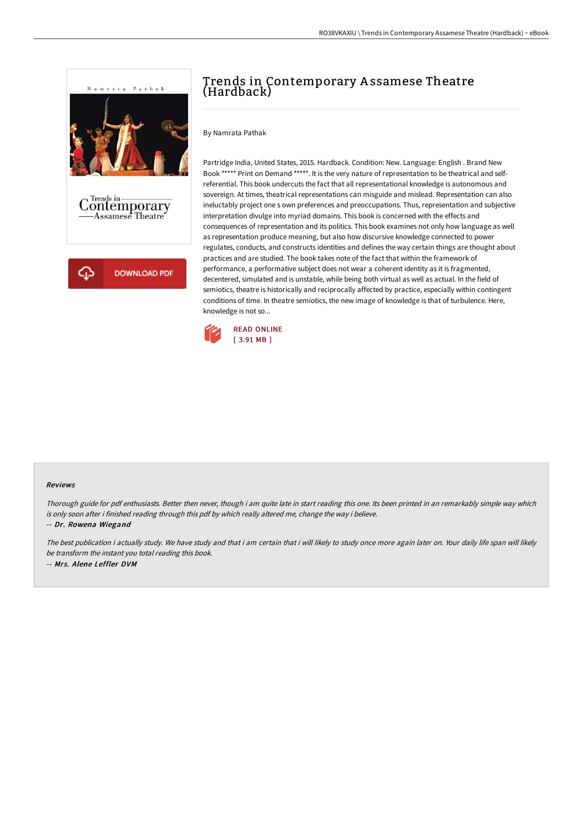

# Trends in Contemporary A ssamese Theatre (Hardback)

By Namrata Pathak

Partridge India, United States, 2015. Hardback. Condition: New. Language: English . Brand New Book \*\*\*\*\* Print on Demand \*\*\*\*\*. It is the very nature of representation to be theatrical and selfreferential. This book undercuts the fact that all representational knowledge is autonomous and sovereign. At times, theatrical representations can misguide and mislead. Representation can also ineluctably project one s own preferences and preoccupations. Thus, representation and subjective interpretation divulge into myriad domains. This book is concerned with the effects and consequences of representation and its politics. This book examines not only how language as well as representation produce meaning, but also how discursive knowledge connected to power regulates, conducts, and constructs identities and defines the way certain things are thought about practices and are studied. The book takes note of the fact that within the framework of performance, a performative subject does not wear a coherent identity as it is fragmented, decentered, simulated and is unstable, while being both virtual as well as actual. In the field of semiotics, theatre is historically and reciprocally affected by practice, especially within contingent conditions of time. In theatre semiotics, the new image of knowledge is that of turbulence. Here, knowledge is not so...



#### Reviews

Thorough guide for pdf enthusiasts. Better then never, though i am quite late in start reading this one. Its been printed in an remarkably simple way which is only soon after i finished reading through this pdf by which really altered me, change the way i believe.

-- Dr. Rowena Wiegand

The best publication i actually study. We have study and that i am certain that i will likely to study once more again later on. Your daily life span will likely be transform the instant you total reading this book. -- Mrs. Alene Leffler DVM